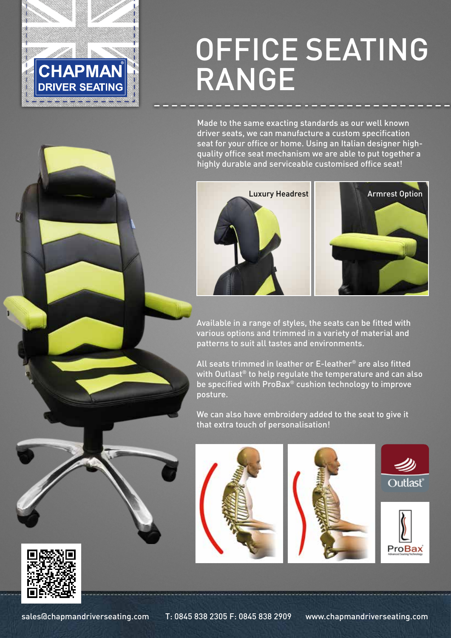

## OFFICE SEATING RANGE

Made to the same exacting standards as our well known driver seats, we can manufacture a custom specification seat for your office or home. Using an Italian designer highquality office seat mechanism we are able to put together a highly durable and serviceable customised office seat!





Available in a range of styles, the seats can be fitted with various options and trimmed in a variety of material and patterns to suit all tastes and environments.

All seats trimmed in leather or E-leather® are also fitted with Outlast® to help regulate the temperature and can also be specified with ProBax® cushion technology to improve posture.

We can also have embroidery added to the seat to give it that extra touch of personalisation!